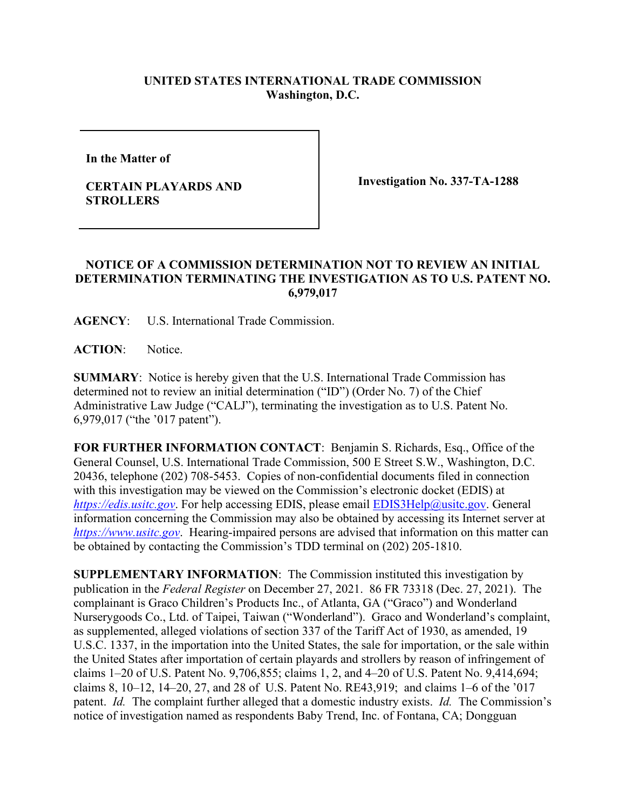## **UNITED STATES INTERNATIONAL TRADE COMMISSION Washington, D.C.**

**In the Matter of** 

## **CERTAIN PLAYARDS AND STROLLERS**

**Investigation No. 337-TA-1288**

## **NOTICE OF A COMMISSION DETERMINATION NOT TO REVIEW AN INITIAL DETERMINATION TERMINATING THE INVESTIGATION AS TO U.S. PATENT NO. 6,979,017**

**AGENCY**: U.S. International Trade Commission.

**ACTION**: Notice.

**SUMMARY**: Notice is hereby given that the U.S. International Trade Commission has determined not to review an initial determination ("ID") (Order No. 7) of the Chief Administrative Law Judge ("CALJ"), terminating the investigation as to U.S. Patent No. 6,979,017 ("the '017 patent").

**FOR FURTHER INFORMATION CONTACT**: Benjamin S. Richards, Esq., Office of the General Counsel, U.S. International Trade Commission, 500 E Street S.W., Washington, D.C. 20436, telephone (202) 708-5453. Copies of non-confidential documents filed in connection with this investigation may be viewed on the Commission's electronic docket (EDIS) at *[https://edis.usitc.gov](https://edis.usitc.gov/)*. For help accessing EDIS, please email [EDIS3Help@usitc.gov.](mailto:EDIS3Help@usitc.gov) General information concerning the Commission may also be obtained by accessing its Internet server at *[https://www.usitc.gov](https://www.usitc.gov/)*. Hearing-impaired persons are advised that information on this matter can be obtained by contacting the Commission's TDD terminal on (202) 205-1810.

**SUPPLEMENTARY INFORMATION**: The Commission instituted this investigation by publication in the *Federal Register* on December 27, 2021. 86 FR 73318 (Dec. 27, 2021). The complainant is Graco Children's Products Inc., of Atlanta, GA ("Graco") and Wonderland Nurserygoods Co., Ltd. of Taipei, Taiwan ("Wonderland"). Graco and Wonderland's complaint, as supplemented, alleged violations of section 337 of the Tariff Act of 1930, as amended, 19 U.S.C. 1337, in the importation into the United States, the sale for importation, or the sale within the United States after importation of certain playards and strollers by reason of infringement of claims 1–20 of U.S. Patent No. 9,706,855; claims 1, 2, and 4–20 of U.S. Patent No. 9,414,694; claims 8, 10–12, 14–20, 27, and 28 of U.S. Patent No. RE43,919; and claims 1–6 of the '017 patent. *Id.* The complaint further alleged that a domestic industry exists. *Id.* The Commission's notice of investigation named as respondents Baby Trend, Inc. of Fontana, CA; Dongguan